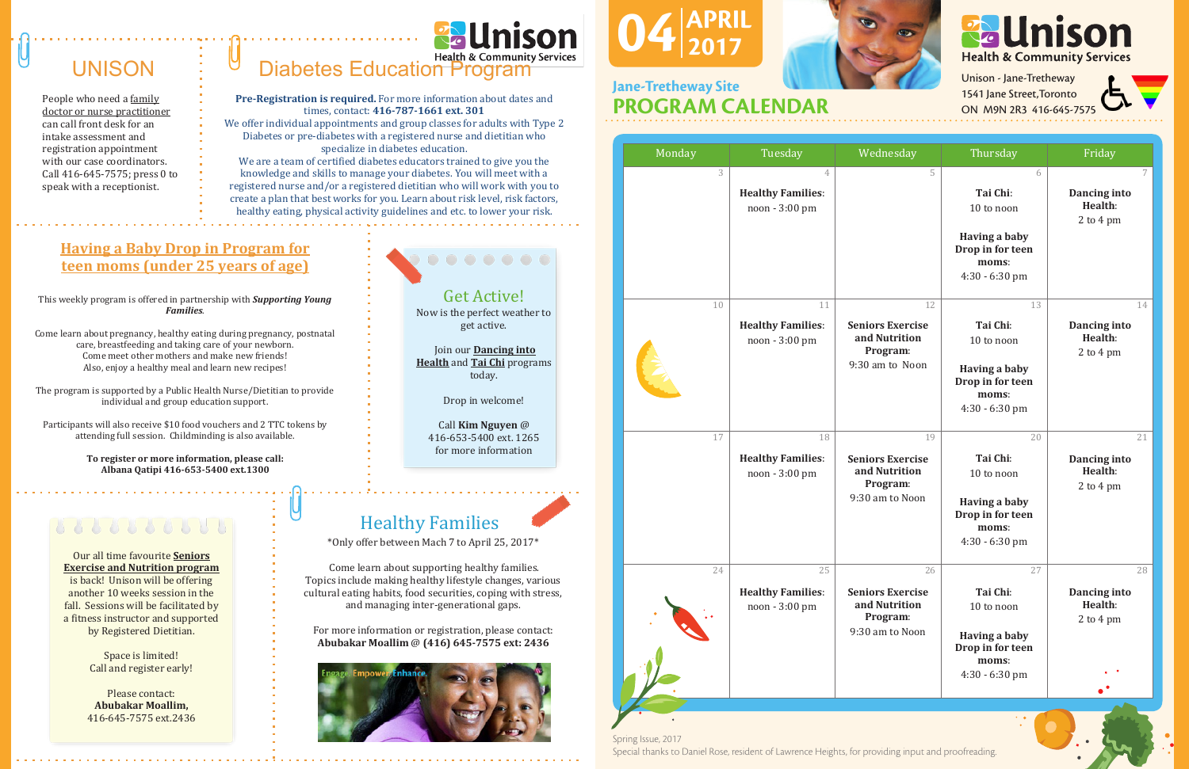Spring Issue, 2017 Spring Issue, 2017 Special thanks to Daniel Rose, resident of Lawrence Heights, for providing input and proofreading. Special thanks to Daniel Rose, resident of Lawrence Heights, for providing input and proofreading.

| Monday | Tuesday                                          | Wednesday                                                                     | Thursday                                                                                              | Friday                                     |
|--------|--------------------------------------------------|-------------------------------------------------------------------------------|-------------------------------------------------------------------------------------------------------|--------------------------------------------|
| 3      | 4<br><b>Healthy Families:</b><br>noon - 3:00 pm  | 5                                                                             | 6<br>Tai Chi:<br>10 to noon<br><b>Having a baby</b><br>Drop in for teen<br>moms:<br>4:30 - 6:30 pm    | 7<br>Dancing into<br>Health:<br>2 to 4 pm  |
| 10     | 11<br><b>Healthy Families:</b><br>noon - 3:00 pm | 12<br><b>Seniors Exercise</b><br>and Nutrition<br>Program:<br>9:30 am to Noon | 13<br>Tai Chi:<br>10 to noon<br><b>Having a baby</b><br>Drop in for teen<br>moms:<br>$4:30 - 6:30$ pm | 14<br>Dancing into<br>Health:<br>2 to 4 pm |
| 17     | 18<br><b>Healthy Families:</b><br>noon - 3:00 pm | 19<br><b>Seniors Exercise</b><br>and Nutrition<br>Program:<br>9:30 am to Noon | 20<br>Tai Chi:<br>10 to noon<br><b>Having a baby</b><br>Drop in for teen<br>moms:<br>4:30 - 6:30 pm   | 21<br>Dancing into<br>Health:<br>2 to 4 pm |
| 24     | 25<br><b>Healthy Families:</b><br>noon - 3:00 pm | 26<br><b>Seniors Exercise</b><br>and Nutrition<br>Program:<br>9:30 am to Noon | 27<br>Tai Chi:<br>10 to noon<br><b>Having a baby</b><br>Drop in for teen<br>moms:<br>4:30 - 6:30 pm   | 28<br>Dancing into<br>Health:<br>2 to 4 pm |



Unison - Jane-Tretheway 1541 Jane Street, Toronto ON M9N 2R3 416-645-75

### UNISON

People who need a family doctor or nurse practitioner can call front desk for an intake assessment and registration appointment with our case coordinators. Call 416-645-7575; press 0 to speak with a receptionist.

# Diabetes Education Program

**Pre-Registration is required.** For more information about dates and times, contact: **416-787-1661 ext. 301**

We offer individual appointments and group classes for adults with Type 2 Diabetes or pre-diabetes with a registered nurse and dietitian who specialize in diabetes education.

#### $J$ 4 $|_2$  $04_{2017}^{APRIL}$ 2017



We are a team of certified diabetes educators trained to give you the knowledge and skills to manage your diabetes. You will meet with a registered nurse and/or a registered dietitian who will work with you to create a plan that best works for you. Learn about risk level, risk factors, healthy eating, physical activity guidelines and etc. to lower your risk.

#### Jane-Tretheway Site<br>PROGRAM CALENDAR Jane-Tretheway Site

#### Get Active!

Now is the perfect weather to get active.

Join our **Dancing into Health** and **Tai Chi** programs today.

Drop in welcome!

Call **Kim Nguyen** @ 416-653-5400 ext. 1265 for more information

#### Healthy Families

\*Only offer between Mach 7 to April 25, 2017\*

Come learn about supporting healthy families. Topics include making healthy lifestyle changes, various cultural eating habits, food securities, coping with stress, and managing inter-generational gaps.

For more information or registration, please contact: **Abubakar Moallim** @ **(416) 645-7575 ext: 2436** 



#### **Having a Baby Drop in Program for teen moms (under 25 years of age)**

This weekly program is offered in partnership with *Supporting Young Families*.

Come learn about pregnancy, healthy eating during pregnancy, postnatal care, breastfeeding and taking care of your newborn. Come meet other mothers and make new friends! Also, enjoy a healthy meal and learn new recipes!

The program is supported by a Public Health Nurse/Dietitian to provide individual and group education support.

Participants will also receive \$10 food vouchers and 2 TTC tokens by attending full session. Childminding is also available.

> **To register or more information, please call: Albana Qatipi 416-653-5400 ext.1300**

Our all time favourite **Seniors Exercise and Nutrition program** is back! Unison will be offering another 10 weeks session in the fall. Sessions will be facilitated by a fitness instructor and supported by Registered Dietitian.

> Space is limited! Call and register early!

Please contact: **Abubakar Moallim,**  416-645-7575 ext.2436

###